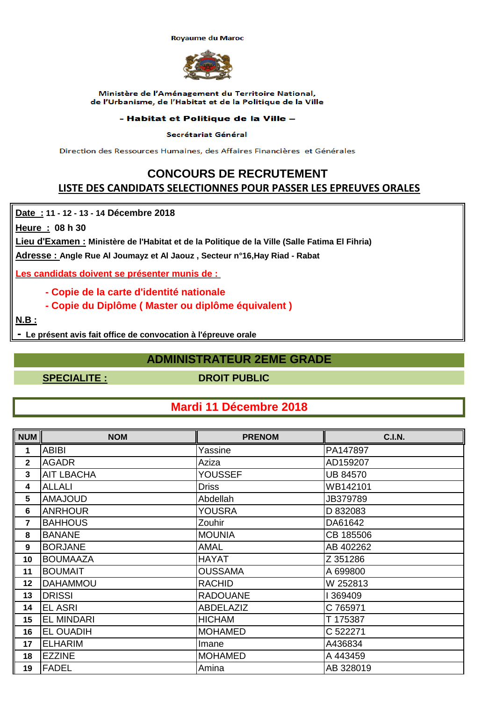**Royaume du Maroc** 



### Ministère de l'Aménagement du Territoire National, de l'Urbanisme, de l'Habitat et de la Politique de la Ville

### - Habitat et Politique de la Ville -

### Secrétariat Général

Direction des Ressources Humaines, des Affaires Financières et Générales

### **CONCOURS DE RECRUTEMENT LISTE DES CANDIDATS SELECTIONNES POUR PASSER LES EPREUVES ORALES**

**Date : 11 - 12 - 13 - 14 Décembre 2018** 

**Heure : 08 h 30** 

**Lieu d'Examen : Ministère de l'Habitat et de la Politique de la Ville (Salle Fatima El Fihria)**

**Adresse : Angle Rue Al Joumayz et Al Jaouz , Secteur n°16,Hay Riad - Rabat**

**Les candidats doivent se présenter munis de :** 

- **Copie de la carte d'identité nationale**
- **Copie du Diplôme ( Master ou diplôme équivalent )**

**N.B :**

 **- Le présent avis fait office de convocation à l'épreuve orale**

### **ADMINISTRATEUR 2EME GRADE**

**SPECIALITE : DROIT PUBLIC**

## **Mardi 11 Décembre 2018**

| <b>NUM</b>              | <b>NOM</b>        | <b>PRENOM</b>   | <b>C.I.N.</b>   |
|-------------------------|-------------------|-----------------|-----------------|
| 1                       | <b>ABIBI</b>      | Yassine         | PA147897        |
| $\mathbf{2}$            | <b>AGADR</b>      | Aziza           | AD159207        |
| 3                       | <b>AIT LBACHA</b> | <b>YOUSSEF</b>  | <b>UB 84570</b> |
| 4                       | <b>ALLALI</b>     | <b>Driss</b>    | WB142101        |
| 5                       | <b>AMAJOUD</b>    | Abdellah        | JB379789        |
| $\bf 6$                 | <b>ANRHOUR</b>    | YOUSRA          | D 832083        |
| $\overline{\mathbf{r}}$ | <b>BAHHOUS</b>    | Zouhir          | DA61642         |
| 8                       | <b>BANANE</b>     | <b>MOUNIA</b>   | CB 185506       |
| $\boldsymbol{9}$        | <b>BORJANE</b>    | <b>AMAL</b>     | AB 402262       |
| 10                      | <b>BOUMAAZA</b>   | <b>HAYAT</b>    | Z 351286        |
| 11                      | <b>BOUMAIT</b>    | <b>OUSSAMA</b>  | A 699800        |
| 12                      | <b>DAHAMMOU</b>   | <b>RACHID</b>   | W 252813        |
| 13                      | <b>DRISSI</b>     | <b>RADOUANE</b> | 369409          |
| 14                      | <b>EL ASRI</b>    | ABDELAZIZ       | C 765971        |
| 15                      | <b>EL MINDARI</b> | <b>HICHAM</b>   | T 175387        |
| 16                      | <b>EL OUADIH</b>  | <b>MOHAMED</b>  | C 522271        |
| 17                      | <b>ELHARIM</b>    | Imane           | A436834         |
| 18                      | <b>EZZINE</b>     | <b>MOHAMED</b>  | A 443459        |
| 19                      | <b>FADEL</b>      | Amina           | AB 328019       |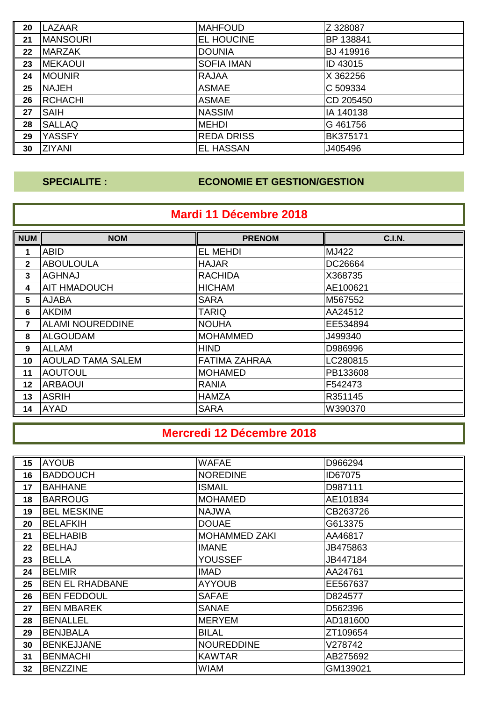| 20 | <b>LAZAAR</b>   | <b>MAHFOUD</b>    | Z 328087  |
|----|-----------------|-------------------|-----------|
| 21 | <b>MANSOURI</b> | EL HOUCINE        | BP 138841 |
| 22 | <b>MARZAK</b>   | <b>DOUNIA</b>     | BJ 419916 |
| 23 | <b>MEKAOUI</b>  | <b>SOFIA IMAN</b> | ID 43015  |
| 24 | <b>MOUNIR</b>   | <b>RAJAA</b>      | X 362256  |
| 25 | <b>NAJEH</b>    | <b>ASMAE</b>      | C 509334  |
| 26 | <b>RCHACHI</b>  | <b>ASMAE</b>      | CD 205450 |
| 27 | <b>SAIH</b>     | <b>NASSIM</b>     | IA 140138 |
| 28 | <b>SALLAQ</b>   | <b>MEHDI</b>      | G 461756  |
| 29 | <b>YASSFY</b>   | <b>REDA DRISS</b> | BK375171  |
| 30 | <b>ZIYANI</b>   | <b>EL HASSAN</b>  | J405496   |

## **SPECIALITE : ECONOMIE ET GESTION/GESTION**

## **Mardi 11 Décembre 2018**

| <b>NUM</b>                     | <b>NOM</b>               | <b>PRENOM</b>        | <b>C.I.N.</b> |
|--------------------------------|--------------------------|----------------------|---------------|
| 1                              | <b>ABID</b>              | <b>EL MEHDI</b>      | MJ422         |
| $\blacksquare$<br>$\mathbf{2}$ | <b>ABOULOULA</b>         | <b>HAJAR</b>         | DC26664       |
| $\mathbf{3}$                   | <b>AGHNAJ</b>            | <b>RACHIDA</b>       | X368735       |
| 4                              | <b>AIT HMADOUCH</b>      | <b>HICHAM</b>        | AE100621      |
| 5                              | <b>AJABA</b>             | <b>SARA</b>          | M567552       |
| $6\phantom{1}6$                | <b>AKDIM</b>             | <b>TARIQ</b>         | AA24512       |
| lľ<br>7                        | <b>ALAMI NOUREDDINE</b>  | <b>NOUHA</b>         | EE534894      |
| 8                              | <b>ALGOUDAM</b>          | <b>MOHAMMED</b>      | J499340       |
| 9                              | <b>ALLAM</b>             | <b>HIND</b>          | D986996       |
| 10                             | <b>AOULAD TAMA SALEM</b> | <b>FATIMA ZAHRAA</b> | LC280815      |
| 11                             | <b>AOUTOUL</b>           | <b>MOHAMED</b>       | PB133608      |
| 12                             | <b>ARBAOUI</b>           | <b>RANIA</b>         | F542473       |
| ll<br>13                       | <b>ASRIH</b>             | <b>HAMZA</b>         | R351145       |
| $\overline{\mathsf{L}}$<br>14  | <b>AYAD</b>              | <b>SARA</b>          | W390370       |

## **Mercredi 12 Décembre 2018**

| 15 | <b>AYOUB</b>           | <b>WAFAE</b>         | D966294  |
|----|------------------------|----------------------|----------|
| 16 | <b>BADDOUCH</b>        | <b>NOREDINE</b>      | ID67075  |
| 17 | <b>BAHHANE</b>         | <b>ISMAIL</b>        | D987111  |
| 18 | <b>BARROUG</b>         | <b>MOHAMED</b>       | AE101834 |
| 19 | <b>BEL MESKINE</b>     | <b>NAJWA</b>         | CB263726 |
| 20 | <b>BELAFKIH</b>        | <b>DOUAE</b>         | G613375  |
| 21 | <b>BELHABIB</b>        | <b>MOHAMMED ZAKI</b> | AA46817  |
| 22 | <b>BELHAJ</b>          | <b>IMANE</b>         | JB475863 |
| 23 | <b>BELLA</b>           | <b>YOUSSEF</b>       | JB447184 |
| 24 | <b>BELMIR</b>          | <b>IMAD</b>          | AA24761  |
| 25 | <b>BEN EL RHADBANE</b> | <b>AYYOUB</b>        | EE567637 |
| 26 | <b>BEN FEDDOUL</b>     | <b>SAFAE</b>         | D824577  |
| 27 | <b>BEN MBAREK</b>      | <b>SANAE</b>         | D562396  |
| 28 | <b>BENALLEL</b>        | <b>MERYEM</b>        | AD181600 |
| 29 | <b>BENJBALA</b>        | <b>BILAL</b>         | ZT109654 |
| 30 | <b>BENKEJJANE</b>      | <b>NOUREDDINE</b>    | V278742  |
| 31 | <b>BENMACHI</b>        | <b>KAWTAR</b>        | AB275692 |
| 32 | <b>BENZZINE</b>        | <b>WIAM</b>          | GM139021 |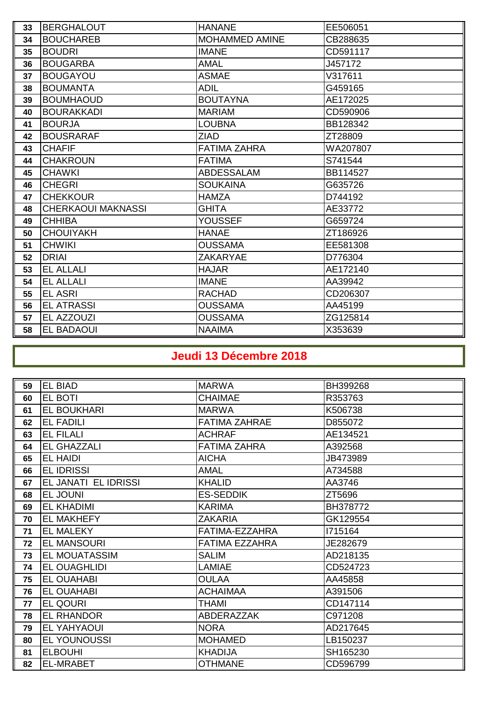| 33 | <b>BERGHALOUT</b>         | <b>HANANE</b>       | EE506051 |
|----|---------------------------|---------------------|----------|
| 34 | <b>BOUCHAREB</b>          | MOHAMMED AMINE      | CB288635 |
| 35 | <b>BOUDRI</b>             | <b>IMANE</b>        | CD591117 |
| 36 | <b>BOUGARBA</b>           | <b>AMAL</b>         | J457172  |
| 37 | <b>BOUGAYOU</b>           | <b>ASMAE</b>        | V317611  |
| 38 | <b>BOUMANTA</b>           | <b>ADIL</b>         | G459165  |
| 39 | <b>BOUMHAOUD</b>          | <b>BOUTAYNA</b>     | AE172025 |
| 40 | <b>BOURAKKADI</b>         | <b>MARIAM</b>       | CD590906 |
| 41 | <b>BOURJA</b>             | <b>LOUBNA</b>       | BB128342 |
| 42 | <b>BOUSRARAF</b>          | <b>ZIAD</b>         | ZT28809  |
| 43 | <b>CHAFIF</b>             | <b>FATIMA ZAHRA</b> | WA207807 |
| 44 | <b>CHAKROUN</b>           | <b>FATIMA</b>       | S741544  |
| 45 | <b>CHAWKI</b>             | <b>ABDESSALAM</b>   | BB114527 |
| 46 | <b>CHEGRI</b>             | <b>SOUKAINA</b>     | G635726  |
| 47 | <b>CHEKKOUR</b>           | <b>HAMZA</b>        | D744192  |
| 48 | <b>CHERKAOUI MAKNASSI</b> | <b>GHITA</b>        | AE33772  |
| 49 | <b>CHHIBA</b>             | <b>YOUSSEF</b>      | G659724  |
| 50 | <b>CHOUIYAKH</b>          | <b>HANAE</b>        | ZT186926 |
| 51 | <b>CHWIKI</b>             | <b>OUSSAMA</b>      | EE581308 |
| 52 | <b>DRIAI</b>              | <b>ZAKARYAE</b>     | D776304  |
| 53 | <b>EL ALLALI</b>          | <b>HAJAR</b>        | AE172140 |
| 54 | <b>EL ALLALI</b>          | <b>IMANE</b>        | AA39942  |
| 55 | <b>EL ASRI</b>            | <b>RACHAD</b>       | CD206307 |
| 56 | <b>EL ATRASSI</b>         | <b>OUSSAMA</b>      | AA45199  |
| 57 | EL AZZOUZI                | <b>OUSSAMA</b>      | ZG125814 |
| 58 | <b>EL BADAOUI</b>         | <b>NAAIMA</b>       | X353639  |

# **Jeudi 13 Décembre 2018**

| 59 | EL BIAD              | <b>MARWA</b>          | BH399268 |
|----|----------------------|-----------------------|----------|
| 60 | EL BOTI              | <b>CHAIMAE</b>        | R353763  |
| 61 | EL BOUKHARI          | <b>MARWA</b>          | K506738  |
| 62 | <b>EL FADILI</b>     | <b>FATIMA ZAHRAE</b>  | D855072  |
| 63 | <b>EL FILALI</b>     | <b>ACHRAF</b>         | AE134521 |
| 64 | EL GHAZZALI          | <b>FATIMA ZAHRA</b>   | A392568  |
| 65 | <b>EL HAIDI</b>      | <b>AICHA</b>          | JB473989 |
| 66 | <b>EL IDRISSI</b>    | AMAL                  | A734588  |
| 67 | EL JANATI EL IDRISSI | <b>KHALID</b>         | AA3746   |
| 68 | EL JOUNI             | <b>ES-SEDDIK</b>      | ZT5696   |
| 69 | <b>EL KHADIMI</b>    | <b>KARIMA</b>         | BH378772 |
| 70 | <b>EL MAKHEFY</b>    | <b>ZAKARIA</b>        | GK129554 |
| 71 | <b>EL MALEKY</b>     | FATIMA-EZZAHRA        | 1715164  |
| 72 | <b>EL MANSOURI</b>   | <b>FATIMA EZZAHRA</b> | JE282679 |
| 73 | <b>EL MOUATASSIM</b> | <b>SALIM</b>          | AD218135 |
| 74 | EL OUAGHLIDI         | LAMIAE                | CD524723 |
| 75 | <b>EL OUAHABI</b>    | <b>OULAA</b>          | AA45858  |
| 76 | <b>EL OUAHABI</b>    | <b>ACHAIMAA</b>       | A391506  |
| 77 | EL QOURI             | THAMI                 | CD147114 |
| 78 | EL RHANDOR           | <b>ABDERAZZAK</b>     | C971208  |
| 79 | EL YAHYAOUI          | <b>NORA</b>           | AD217645 |
| 80 | <b>EL YOUNOUSSI</b>  | <b>MOHAMED</b>        | LB150237 |
| 81 | <b>ELBOUHI</b>       | <b>KHADIJA</b>        | SH165230 |
| 82 | <b>EL-MRABET</b>     | <b>OTHMANE</b>        | CD596799 |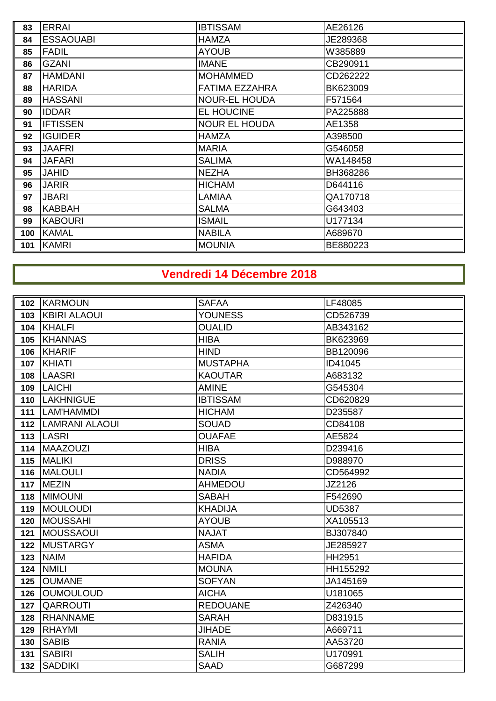| 83  | <b>ERRAI</b>     | <b>IBTISSAM</b>       | AE26126  |
|-----|------------------|-----------------------|----------|
| 84  | <b>ESSAOUABI</b> | <b>HAMZA</b>          | JE289368 |
| 85  | <b>FADIL</b>     | <b>AYOUB</b>          | W385889  |
| 86  | <b>GZANI</b>     | <b>IMANE</b>          | CB290911 |
| 87  | <b>HAMDANI</b>   | <b>MOHAMMED</b>       | CD262222 |
| 88  | <b>HARIDA</b>    | <b>FATIMA EZZAHRA</b> | BK623009 |
| 89  | <b>HASSANI</b>   | <b>NOUR-EL HOUDA</b>  | F571564  |
| 90  | <b>IDDAR</b>     | EL HOUCINE            | PA225888 |
| 91  | <b>IFTISSEN</b>  | <b>NOUR EL HOUDA</b>  | AE1358   |
| 92  | <b>IGUIDER</b>   | <b>HAMZA</b>          | A398500  |
| 93  | <b>JAAFRI</b>    | <b>MARIA</b>          | G546058  |
| 94  | <b>JAFARI</b>    | <b>SALIMA</b>         | WA148458 |
| 95  | <b>JAHID</b>     | <b>NEZHA</b>          | BH368286 |
| 96  | <b>JARIR</b>     | <b>HICHAM</b>         | D644116  |
| 97  | <b>JBARI</b>     | <b>LAMIAA</b>         | QA170718 |
| 98  | <b>KABBAH</b>    | <b>SALMA</b>          | G643403  |
| 99  | <b>KABOURI</b>   | <b>ISMAIL</b>         | U177134  |
| 100 | <b>KAMAL</b>     | <b>NABILA</b>         | A689670  |
| 101 | <b>KAMRI</b>     | <b>MOUNIA</b>         | BE880223 |

# **Vendredi 14 Décembre 2018**

|     | 102 KARMOUN          | <b>SAFAA</b>    | LF48085       |
|-----|----------------------|-----------------|---------------|
| 103 | <b>KBIRI ALAOUI</b>  | <b>YOUNESS</b>  | CD526739      |
| 104 | <b>KHALFI</b>        | <b>OUALID</b>   | AB343162      |
| 105 | <b>KHANNAS</b>       | <b>HIBA</b>     | BK623969      |
| 106 | <b>KHARIF</b>        | <b>HIND</b>     | BB120096      |
|     | 107 KHIATI           | <b>MUSTAPHA</b> | ID41045       |
| 108 | <b>LAASRI</b>        | <b>KAOUTAR</b>  | A683132       |
| 109 | <b>LAICHI</b>        | <b>AMINE</b>    | G545304       |
| 110 | <b>LAKHNIGUE</b>     | <b>IBTISSAM</b> | CD620829      |
| 111 | LAM'HAMMDI           | <b>HICHAM</b>   | D235587       |
|     | 112   LAMRANI ALAOUI | <b>SOUAD</b>    | CD84108       |
|     | 113  LASRI           | <b>OUAFAE</b>   | AE5824        |
| 114 | <b>MAAZOUZI</b>      | <b>HIBA</b>     | D239416       |
| 115 | <b>MALIKI</b>        | <b>DRISS</b>    | D988970       |
| 116 | <b>MALOULI</b>       | <b>NADIA</b>    | CD564992      |
|     | 117 MEZIN            | <b>AHMEDOU</b>  | JZ2126        |
| 118 | <b>MIMOUNI</b>       | <b>SABAH</b>    | F542690       |
| 119 | <b>MOULOUDI</b>      | <b>KHADIJA</b>  | <b>UD5387</b> |
| 120 | <b>MOUSSAHI</b>      | <b>AYOUB</b>    | XA105513      |
| 121 | MOUSSAOUI            | <b>NAJAT</b>    | BJ307840      |
| 122 | <b>MUSTARGY</b>      | <b>ASMA</b>     | JE285927      |
| 123 | <b>NAIM</b>          | <b>HAFIDA</b>   | <b>HH2951</b> |
| 124 | <b>NMILI</b>         | <b>MOUNA</b>    | HH155292      |
| 125 | <b>OUMANE</b>        | <b>SOFYAN</b>   | JA145169      |
| 126 | <b>OUMOULOUD</b>     | <b>AICHA</b>    | U181065       |
| 127 | <b>QARROUTI</b>      | <b>REDOUANE</b> | Z426340       |
| 128 | RHANNAME             | <b>SARAH</b>    | D831915       |
| 129 | <b>RHAYMI</b>        | <b>JIHADE</b>   | A669711       |
| 130 | <b>SABIB</b>         | <b>RANIA</b>    | AA53720       |
| 131 | <b>SABIRI</b>        | <b>SALIH</b>    | U170991       |
| 132 | <b>SADDIKI</b>       | <b>SAAD</b>     | G687299       |